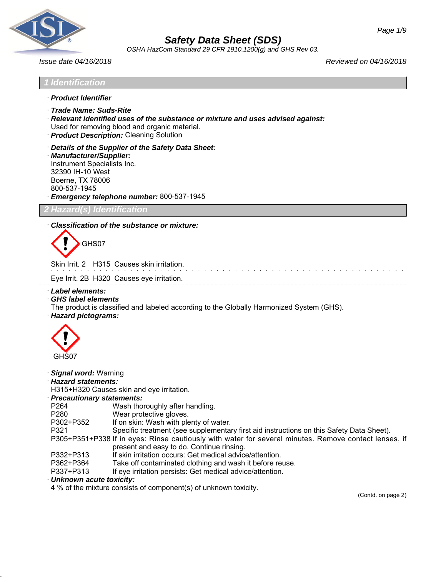

*OSHA HazCom Standard 29 CFR 1910.1200(g) and GHS Rev 03.*

*Issue date 04/16/2018 Reviewed on 04/16/2018*

- · *Product Identifier*
- · *Trade Name: Suds-Rite*
- · *Relevant identified uses of the substance or mixture and uses advised against:* Used for removing blood and organic material.
- · *Product Description:* Cleaning Solution
- · *Details of the Supplier of the Safety Data Sheet:*
- · *Manufacturer/Supplier:* Instrument Specialists Inc. 32390 IH-10 West Boerne, TX 78006 800-537-1945 · *Emergency telephone number:* 800-537-1945

#### *2 Hazard(s) Identification*

#### · *Classification of the substance or mixture:*

GHS07

Skin Irrit. 2 H315 Causes skin irritation.

Eye Irrit. 2B H320 Causes eye irritation.

- · *Label elements:*
- · *GHS label elements*
- The product is classified and labeled according to the Globally Harmonized System (GHS).
- · *Hazard pictograms:*



#### · *Signal word:* Warning

· *Hazard statements:*

H315+H320 Causes skin and eye irritation.

#### · *Precautionary statements:*

- P264 Wash thoroughly after handling.
- P280 Wear protective gloves.
- P302+P352 If on skin: Wash with plenty of water.
- P321 Specific treatment (see supplementary first aid instructions on this Safety Data Sheet).

P305+P351+P338 If in eyes: Rinse cautiously with water for several minutes. Remove contact lenses, if present and easy to do. Continue rinsing.

- P332+P313 If skin irritation occurs: Get medical advice/attention.
- P362+P364 Take off contaminated clothing and wash it before reuse.
- P337+P313 If eye irritation persists: Get medical advice/attention.

#### · *Unknown acute toxicity:*

4 % of the mixture consists of component(s) of unknown toxicity.

(Contd. on page 2)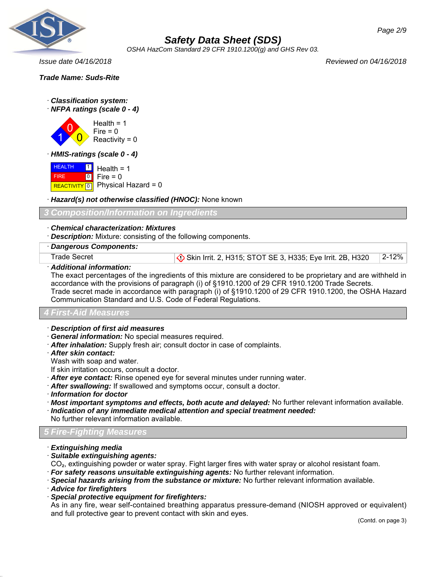

*OSHA HazCom Standard 29 CFR 1910.1200(g) and GHS Rev 03.*

*Issue date 04/16/2018 Reviewed on 04/16/2018*

*Trade Name: Suds-Rite*

- · *Classification system:*
- · *NFPA ratings (scale 0 4)*

1 0  $\overline{\mathbf{0}}$  $Health = 1$  $Fire = 0$  $Reactivity = 0$ 

· *HMIS-ratings (scale 0 - 4)*

**HEALTH**  FIRE REACTIVITY  $\boxed{0}$  Physical Hazard = 0  $\blacksquare$  $\boxed{0}$  $Health = 1$  $Fire = 0$ 

*Hazard(s) not otherwise classified (HNOC):* **None known** 

*3 Composition/Information on Ingredients*

#### · *Chemical characterization: Mixtures*

· *Description:* Mixture: consisting of the following components.

#### · *Dangerous Components:*

Trade Secret **Superints Accord Standard Contract Studies** STOT SE 3, H335; Eye Irrit. 2B, H320 2-12%

#### · *Additional information:*

The exact percentages of the ingredients of this mixture are considered to be proprietary and are withheld in accordance with the provisions of paragraph (i) of §1910.1200 of 29 CFR 1910.1200 Trade Secrets. Trade secret made in accordance with paragraph (i) of §1910.1200 of 29 CFR 1910.1200, the OSHA Hazard

Communication Standard and U.S. Code of Federal Regulations.

#### *4 First-Aid Measures*

- · *Description of first aid measures*
- · *General information:* No special measures required.
- · *After inhalation:* Supply fresh air; consult doctor in case of complaints.
- · *After skin contact:*
- Wash with soap and water.

If skin irritation occurs, consult a doctor.

- · *After eye contact:* Rinse opened eye for several minutes under running water.
- · *After swallowing:* If swallowed and symptoms occur, consult a doctor.
- · *Information for doctor*
- · *Most important symptoms and effects, both acute and delayed:* No further relevant information available.
- · *Indication of any immediate medical attention and special treatment needed:* No further relevant information available.

### *5 Fire-Fighting Measures*

- · *Extinguishing media*
- · *Suitable extinguishing agents:*
- CO₂, extinguishing powder or water spray. Fight larger fires with water spray or alcohol resistant foam.
- · *For safety reasons unsuitable extinguishing agents:* No further relevant information.
- · *Special hazards arising from the substance or mixture:* No further relevant information available.
- · *Advice for firefighters*
- · *Special protective equipment for firefighters:*

As in any fire, wear self-contained breathing apparatus pressure-demand (NIOSH approved or equivalent) and full protective gear to prevent contact with skin and eyes.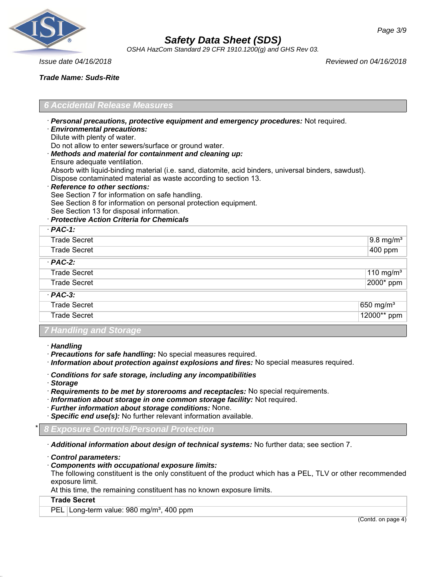

*OSHA HazCom Standard 29 CFR 1910.1200(g) and GHS Rev 03.*

*Issue date 04/16/2018 Reviewed on 04/16/2018*

*Trade Name: Suds-Rite*

### *6 Accidental Release Measures*

- · *Personal precautions, protective equipment and emergency procedures:* Not required.
- · *Environmental precautions:*
- Dilute with plenty of water.

Do not allow to enter sewers/surface or ground water.

- · *Methods and material for containment and cleaning up:*
- Ensure adequate ventilation.

Absorb with liquid-binding material (i.e. sand, diatomite, acid binders, universal binders, sawdust). Dispose contaminated material as waste according to section 13.

· *Reference to other sections:*

See Section 7 for information on safe handling.

See Section 8 for information on personal protection equipment.

- See Section 13 for disposal information.
- · *Protective Action Criteria for Chemicals*

| $PAC-1$ :              |                      |
|------------------------|----------------------|
| <b>Trade Secret</b>    | $9.8 \text{ mg/m}^3$ |
| <b>Trade Secret</b>    | 400 ppm              |
| $·$ PAC-2:             |                      |
| <b>Trade Secret</b>    | 110 mg/m $3$         |
| <b>Trade Secret</b>    | 2000* ppm            |
| $·$ PAC-3:             |                      |
| <b>Trade Secret</b>    | 650 mg/ $m3$         |
| <b>Trade Secret</b>    | $12000**$ ppm        |
| 7 Handling and Storage |                      |

- · *Handling*
- · *Precautions for safe handling:* No special measures required.
- · *Information about protection against explosions and fires:* No special measures required.
- · *Conditions for safe storage, including any incompatibilities*
- · *Storage*
- · *Requirements to be met by storerooms and receptacles:* No special requirements.
- · *Information about storage in one common storage facility:* Not required.
- · *Further information about storage conditions:* None.
- · *Specific end use(s):* No further relevant information available.

\* *8 Exposure Controls/Personal Protection*

· *Additional information about design of technical systems:* No further data; see section 7.

· *Control parameters:*

#### · *Components with occupational exposure limits:*

The following constituent is the only constituent of the product which has a PEL, TLV or other recommended exposure limit.

At this time, the remaining constituent has no known exposure limits.

#### **Trade Secret**

PEL Long-term value: 980 mg/m<sup>3</sup>, 400 ppm

(Contd. on page 4)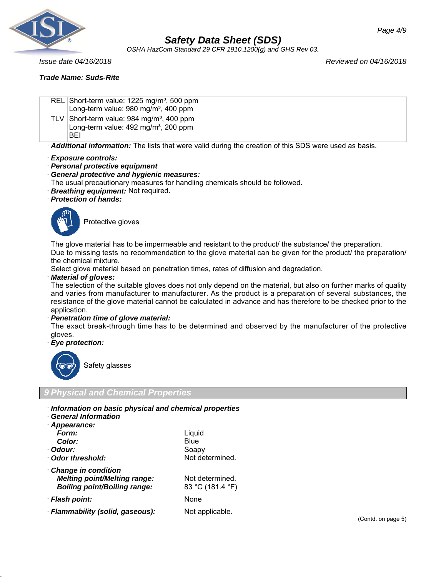

*OSHA HazCom Standard 29 CFR 1910.1200(g) and GHS Rev 03.*

### *Trade Name: Suds-Rite*

*Issue date 04/16/2018 Reviewed on 04/16/2018*

REL Short-term value: 1225 mg/m<sup>3</sup>, 500 ppm Long-term value:  $980 \text{ mg/m}^3$ ,  $400 \text{ ppm}$ TLV Short-term value:  $984 \text{ mg/m}^3$ , 400 ppm Long-term value:  $492$  mg/m<sup>3</sup>, 200 ppm BEI

· *Additional information:* The lists that were valid during the creation of this SDS were used as basis.

· *Exposure controls:*

· *Personal protective equipment*

#### · *General protective and hygienic measures:*

The usual precautionary measures for handling chemicals should be followed.

- · *Breathing equipment:* Not required.
- · *Protection of hands:*



Protective gloves

The glove material has to be impermeable and resistant to the product/ the substance/ the preparation.

Due to missing tests no recommendation to the glove material can be given for the product/ the preparation/ the chemical mixture.

Select glove material based on penetration times, rates of diffusion and degradation.

#### · *Material of gloves:*

The selection of the suitable gloves does not only depend on the material, but also on further marks of quality and varies from manufacturer to manufacturer. As the product is a preparation of several substances, the resistance of the glove material cannot be calculated in advance and has therefore to be checked prior to the application.

#### · *Penetration time of glove material:*

The exact break-through time has to be determined and observed by the manufacturer of the protective gloves.

· *Eye protection:*



Safety glasses

### *9 Physical and Chemical Properties*

- · *Information on basic physical and chemical properties*
- · *General Information*

| · Appearance:                                                                                     |                                     |
|---------------------------------------------------------------------------------------------------|-------------------------------------|
| Form:                                                                                             | Liquid                              |
| Color:                                                                                            | Blue                                |
| · Odour:                                                                                          | Soapy                               |
| Odor threshold:                                                                                   | Not determined.                     |
| Change in condition<br><b>Melting point/Melting range:</b><br><b>Boiling point/Boiling range:</b> | Not determined.<br>83 °C (181.4 °F) |
| · Flash point:                                                                                    | <b>None</b>                         |
| · Flammability (solid, gaseous):                                                                  | Not applicable.                     |

(Contd. on page 5)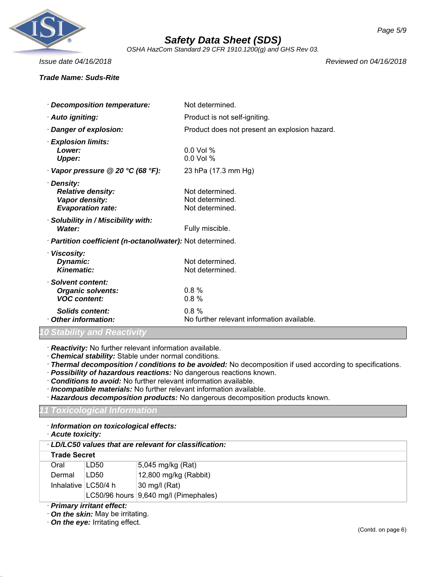

*OSHA HazCom Standard 29 CFR 1910.1200(g) and GHS Rev 03.*

### *Trade Name: Suds-Rite*

*Issue date 04/16/2018 Reviewed on 04/16/2018*

| · Decomposition temperature:                                                         | Not determined.                                       |
|--------------------------------------------------------------------------------------|-------------------------------------------------------|
| · Auto igniting:                                                                     | Product is not self-igniting.                         |
| · Danger of explosion:                                                               | Product does not present an explosion hazard.         |
| <b>Explosion limits:</b><br>Lower:<br><b>Upper:</b>                                  | $0.0$ Vol %<br>$0.0$ Vol %                            |
| Vapor pressure @ 20 °C (68 °F):                                                      | 23 hPa (17.3 mm Hg)                                   |
| · Density:<br><b>Relative density:</b><br>Vapor density:<br><b>Evaporation rate:</b> | Not determined.<br>Not determined.<br>Not determined. |
| · Solubility in / Miscibility with:<br>Water:                                        | Fully miscible.                                       |
| · Partition coefficient (n-octanol/water): Not determined.                           |                                                       |
| · Viscosity:<br>Dynamic:<br><b>Kinematic:</b>                                        | Not determined.<br>Not determined.                    |
| · Solvent content:<br><b>Organic solvents:</b><br><b>VOC content:</b>                | 0.8%<br>0.8%                                          |
| Solids content:<br>Other information:                                                | 0.8%<br>No further relevant information available.    |

### *10 Stability and Reactivity*

· *Reactivity:* No further relevant information available.

- · *Chemical stability:* Stable under normal conditions.
- · *Thermal decomposition / conditions to be avoided:* No decomposition if used according to specifications.
- · *Possibility of hazardous reactions:* No dangerous reactions known.
- · *Conditions to avoid:* No further relevant information available.
- · *Incompatible materials:* No further relevant information available.
- · *Hazardous decomposition products:* No dangerous decomposition products known.

### *11 Toxicological Information*

· *Information on toxicological effects:*

|  | · Acute toxicity: |
|--|-------------------|
|--|-------------------|

|                       |                            | $\cdot$ LD/LC50 values that are relevant for classification: |
|-----------------------|----------------------------|--------------------------------------------------------------|
| <b>Trade Secret</b>   |                            |                                                              |
| Oral                  | LD50                       | 5,045 mg/kg (Rat)                                            |
| Dermal                | LD50                       | 12,800 mg/kg (Rabbit)                                        |
| Inhalative $LC50/4 h$ |                            | 30 mg/l (Rat)                                                |
|                       |                            | LC50/96 hours 9,640 mg/l (Pimephales)                        |
|                       | . Drimaru irritant affaatı |                                                              |

· *Primary irritant effect:*

- · *On the skin:* May be irritating.
- · *On the eye:* Irritating effect.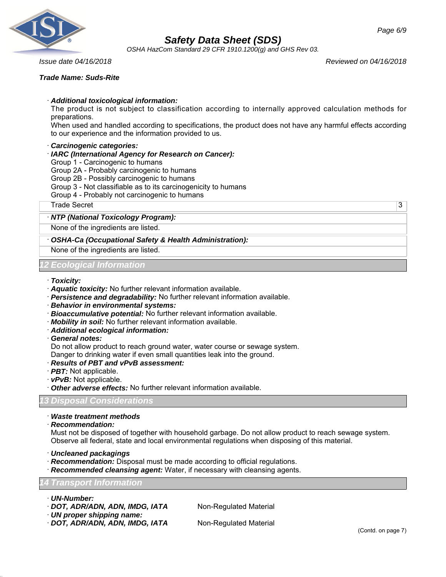

*OSHA HazCom Standard 29 CFR 1910.1200(g) and GHS Rev 03.*

#### *Trade Name: Suds-Rite*

*Page 6/9*

*Issue date 04/16/2018 Reviewed on 04/16/2018*

#### · *Additional toxicological information:*

The product is not subject to classification according to internally approved calculation methods for preparations.

When used and handled according to specifications, the product does not have any harmful effects according to our experience and the information provided to us.

#### · *Carcinogenic categories:*

#### · *IARC (International Agency for Research on Cancer):*

Group 1 - Carcinogenic to humans

- Group 2A Probably carcinogenic to humans
- Group 2B Possibly carcinogenic to humans
- Group 3 Not classifiable as to its carcinogenicity to humans

Group 4 - Probably not carcinogenic to humans

Trade Secret 3

#### · *NTP (National Toxicology Program):*

None of the ingredients are listed.

#### · *OSHA-Ca (Occupational Safety & Health Administration):*

None of the ingredients are listed.

#### *12 Ecological Information*

- · *Toxicity:*
- · *Aquatic toxicity:* No further relevant information available.
- · *Persistence and degradability:* No further relevant information available.
- · *Behavior in environmental systems:*
- · *Bioaccumulative potential:* No further relevant information available.
- · *Mobility in soil:* No further relevant information available.
- · *Additional ecological information:*
- · *General notes:*

Do not allow product to reach ground water, water course or sewage system.

Danger to drinking water if even small quantities leak into the ground.

- · *Results of PBT and vPvB assessment:*
- · *PBT:* Not applicable.
- · *vPvB:* Not applicable.
- · *Other adverse effects:* No further relevant information available.

#### *13 Disposal Considerations*

· *Waste treatment methods*

· *Recommendation:*

Must not be disposed of together with household garbage. Do not allow product to reach sewage system. Observe all federal, state and local environmental regulations when disposing of this material.

- · *Uncleaned packagings*
- · *Recommendation:* Disposal must be made according to official regulations.
- **Recommended cleansing agent:** Water, if necessary with cleansing agents.

#### *14 Transport Information*

- · *UN-Number:*
- · **DOT, ADR/ADN, ADN, IMDG, IATA** Non-Regulated Material
- · *UN proper shipping name:*

· *DOT, ADR/ADN, ADN, IMDG, IATA* Non-Regulated Material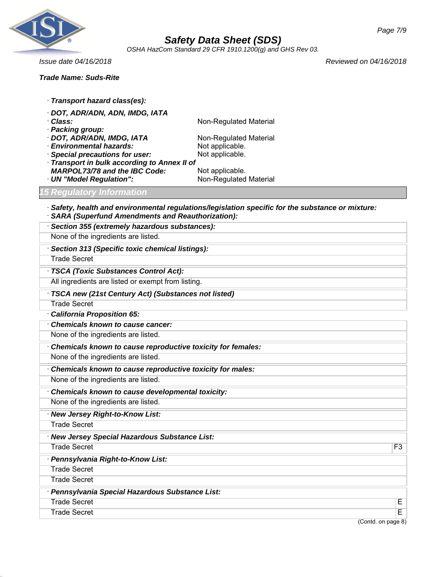

*OSHA HazCom Standard 29 CFR 1910.1200(g) and GHS Rev 03.*

### *Trade Name: Suds-Rite*

*Issue date 04/16/2018 Reviewed on 04/16/2018*

| · Transport hazard class(es):                |                        |
|----------------------------------------------|------------------------|
| · DOT, ADR/ADN, ADN, IMDG, IATA              |                        |
| · Class:                                     | Non-Regulated Material |
| · Packing group:                             |                        |
| · DOT, ADR/ADN, IMDG, IATA                   | Non-Regulated Material |
| <b>Environmental hazards:</b>                | Not applicable.        |
| · Special precautions for user:              | Not applicable.        |
| · Transport in bulk according to Annex II of |                        |
| <b>MARPOL73/78 and the IBC Code:</b>         | Not applicable.        |
| · UN "Model Regulation":                     | Non-Regulated Material |
| <b>15 Regulatory Information</b>             |                        |

· *Safety, health and environmental regulations/legislation specific for the substance or mixture:* · *SARA (Superfund Amendments and Reauthorization):*

| · Section 355 (extremely hazardous substances):             |                         |
|-------------------------------------------------------------|-------------------------|
| None of the ingredients are listed.                         |                         |
| Section 313 (Specific toxic chemical listings):             |                         |
| <b>Trade Secret</b>                                         |                         |
| · TSCA (Toxic Substances Control Act):                      |                         |
| All ingredients are listed or exempt from listing.          |                         |
| · TSCA new (21st Century Act) (Substances not listed)       |                         |
| <b>Trade Secret</b>                                         |                         |
| · California Proposition 65:                                |                         |
| Chemicals known to cause cancer:                            |                         |
| None of the ingredients are listed.                         |                         |
| Chemicals known to cause reproductive toxicity for females: |                         |
| None of the ingredients are listed.                         |                         |
| Chemicals known to cause reproductive toxicity for males:   |                         |
| None of the ingredients are listed.                         |                         |
| Chemicals known to cause developmental toxicity:            |                         |
| None of the ingredients are listed.                         |                         |
| · New Jersey Right-to-Know List:                            |                         |
| <b>Trade Secret</b>                                         |                         |
| · New Jersey Special Hazardous Substance List:              |                         |
| <b>Trade Secret</b>                                         | F <sub>3</sub>          |
| Pennsylvania Right-to-Know List:                            |                         |
| <b>Trade Secret</b>                                         |                         |
| <b>Trade Secret</b>                                         |                         |
| · Pennsylvania Special Hazardous Substance List:            |                         |
| <b>Trade Secret</b>                                         | E                       |
| <b>Trade Secret</b>                                         | $\overline{\mathsf{E}}$ |
| (Contd. on page 8)                                          |                         |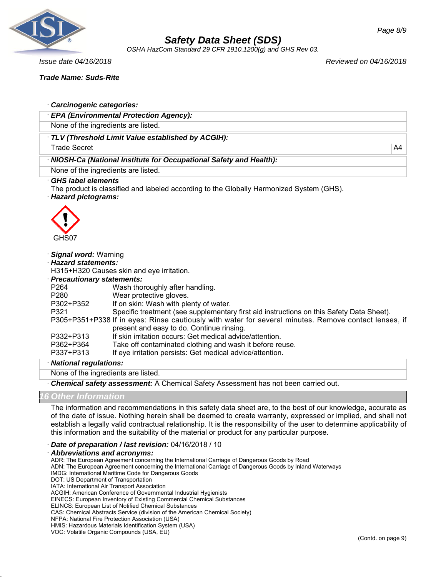

*OSHA HazCom Standard 29 CFR 1910.1200(g) and GHS Rev 03.*

*Issue date 04/16/2018 Reviewed on 04/16/2018*

*Trade Name: Suds-Rite*

| · EPA (Environmental Protection Agency):<br>None of the ingredients are listed.<br>· TLV (Threshold Limit Value established by ACGIH):        |
|-----------------------------------------------------------------------------------------------------------------------------------------------|
|                                                                                                                                               |
|                                                                                                                                               |
|                                                                                                                                               |
| <b>Trade Secret</b><br>A4                                                                                                                     |
| · NIOSH-Ca (National Institute for Occupational Safety and Health):                                                                           |
| None of the ingredients are listed.                                                                                                           |
| <b>GHS label elements</b><br>The product is classified and labeled according to the Globally Harmonized System (GHS).<br>· Hazard pictograms: |
| GHS07                                                                                                                                         |
|                                                                                                                                               |
| · Signal word: Warning                                                                                                                        |
| · Hazard statements:                                                                                                                          |
| H315+H320 Causes skin and eye irritation.                                                                                                     |
| · Precautionary statements:<br>P264<br>Wash thoroughly after handling.                                                                        |
| Wear protective gloves.<br>P <sub>280</sub>                                                                                                   |
| If on skin: Wash with plenty of water.<br>P302+P352                                                                                           |
| Specific treatment (see supplementary first aid instructions on this Safety Data Sheet).<br>P321                                              |
| P305+P351+P338 If in eyes: Rinse cautiously with water for several minutes. Remove contact lenses, if                                         |
| present and easy to do. Continue rinsing.                                                                                                     |
| If skin irritation occurs: Get medical advice/attention.<br>P332+P313                                                                         |
| P362+P364<br>Take off contaminated clothing and wash it before reuse.                                                                         |
| P337+P313<br>If eye irritation persists: Get medical advice/attention.                                                                        |
| · National regulations:                                                                                                                       |
| None of the ingredients are listed.                                                                                                           |
| Chemical safety assessment: A Chemical Safety Assessment has not been carried out.                                                            |

#### *16 Other Information*

The information and recommendations in this safety data sheet are, to the best of our knowledge, accurate as of the date of issue. Nothing herein shall be deemed to create warranty, expressed or implied, and shall not establish a legally valid contractual relationship. It is the responsibility of the user to determine applicability of this information and the suitability of the material or product for any particular purpose.

· *Date of preparation / last revision:* 04/16/2018 / 10

#### · *Abbreviations and acronyms:*

ADR: The European Agreement concerning the International Carriage of Dangerous Goods by Road

ADN: The European Agreement concerning the International Carriage of Dangerous Goods by Inland Waterways

IMDG: International Maritime Code for Dangerous Goods

DOT: US Department of Transportation

ACGIH: American Conference of Governmental Industrial Hygienists

EINECS: European Inventory of Existing Commercial Chemical Substances

ELINCS: European List of Notified Chemical Substances

CAS: Chemical Abstracts Service (division of the American Chemical Society)

NFPA: National Fire Protection Association (USA)

HMIS: Hazardous Materials Identification System (USA)

VOC: Volatile Organic Compounds (USA, EU)

IATA: International Air Transport Association